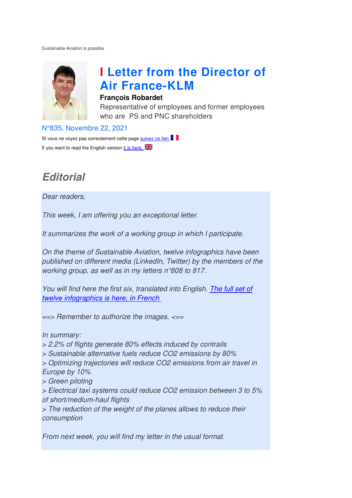Sustainable Aviation is possible



# **I Letter from the Director of Air France France-KLM**

#### **François Robardet**

Representative of employees and former employees who are PS and PNC shareholders

N°835, Novembre 22, 2021

Si vous ne voyez pas correctement cette page suivez ce lien If you want to read the English version it is here,  $\frac{1}{2}$ 

## **Editorial**

Dear readers,

This week, I am offering you an exceptional letter.

It summarizes the work of a working group in which I participate.

On the theme of Sustainable Aviation, twelve infographics have been published on different media (LinkedIn, Twitter) by the members of the working group, as well as in my letters n°808 to 817.

You will find here the first six, translated into English. The full set of twelve infographics is here, in French

 $\Rightarrow$  Remember to authorize the images.  $\le$ ==

In summary:

> 2.2% of flights generate 80% effects induced by contrails

> Sustainable alternative fuels reduce CO2 emissions by 80%

> Optimizing trajectories will reduce CO2 emissions from air travel in Europe by 10% to authorize<br>generate 80<br>ernative fue<br>ectories will<br>ystems cou.<br>haul flights

> Green piloting

> Electrical taxi systems could reduce CO2 emission between 3 to 5% of short/medium-haul flights

> The reduction of the weight of the planes allows to reduce their consumption

From next week, you will find my letter in the usual format.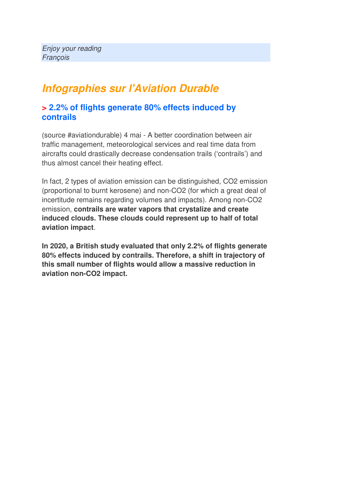### **Infographies sur l'Aviation Durable**

#### **> 2.2% of flights generate 80% effects induced by contrails**

(source #aviationdurable) 4 mai - A better coordination between air traffic management, meteorological services and real time data from aircrafts could drastically decrease condensation trails ('contrails') and thus almost cancel their heating effect.

In fact, 2 types of aviation emission can be distinguished, CO2 emission (proportional to burnt kerosene) and non-CO2 (for which a great deal of incertitude remains regarding volumes and impacts). Among non-CO2 emission, **contrails are water vapors that crystalize and create induced clouds. These clouds could represent up to half of total aviation impact**.

**In 2020, a British study evaluated that only 2.2% of flights generate 80% effects induced by contrails. Therefore, a shift in trajectory of this small number of flights would allow a massive reduction in aviation non-CO2 impact.**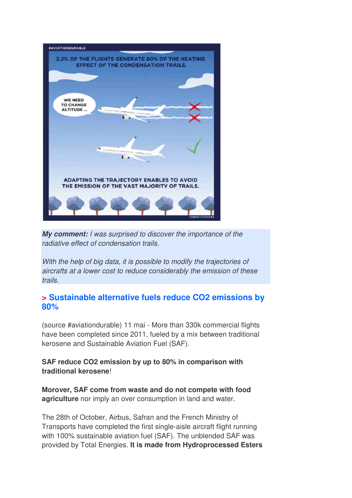

**My comment:** I was surprised to discover the importance of the radiative effect of condensation trails.

With the help of big data, it is possible to modify the trajectories of aircrafts at a lower cost to reduce considerably the emission of these trails.

#### **> Sustainable alternative fuels reduce CO2 emissions by 80%**

(source #aviationdurable) 11 mai - More than 330k commercial flights have been completed since 2011, fueled by a mix between traditional kerosene and Sustainable Aviation Fuel (SAF).

**SAF reduce CO2 emission by up to 80% in comparison with traditional kerosene**!

**Morover, SAF come from waste and do not compete with food agriculture** nor imply an over consumption in land and water.

The 28th of October, Airbus, Safran and the French Ministry of Transports have completed the first single-aisle aircraft flight running with 100% sustainable aviation fuel (SAF). The unblended SAF was provided by Total Energies. **It is made from Hydroprocessed Esters**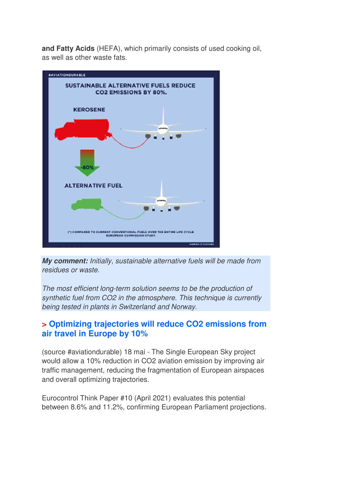**and Fatty Acids** (HEFA), which primarily consists of used cooking oil, as well as other waste fats.



**My comment:** Initially, sustainable alternative fuels will be made from residues or waste.

The most efficient long-term solution seems to be the production of synthetic fuel from CO2 in the atmosphere. This technique is currently being tested in plants in Switzerland and Norway.

### **> Optimizing trajectories will reduce CO2 emissions from air travel in Europe by 10%**

(source #aviationdurable) 18 mai - The Single European Sky project would allow a 10% reduction in CO2 aviation emission by improving air traffic management, reducing the fragmentation of European airspaces and overall optimizing trajectories.

Eurocontrol Think Paper #10 (April 2021) evaluates this potential between 8.6% and 11.2%, confirming European Parliament projections.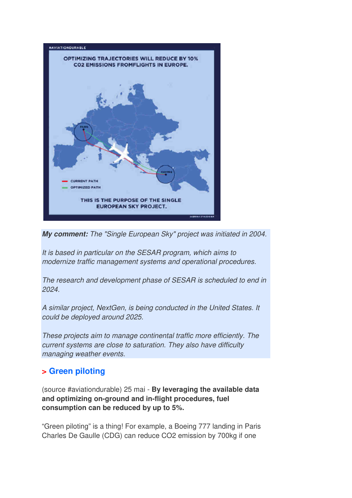

**My comment:** The "Single European Sky" project was initiated in 2004.

It is based in particular on the SESAR program, which aims to modernize traffic management systems and operational procedures.

The research and development phase of SESAR is scheduled to end in 2024.

A similar project, NextGen, is being conducted in the United States. It could be deployed around 2025.

These projects aim to manage continental traffic more efficiently. The current systems are close to saturation. They also have difficulty managing weather events.

### **> Green piloting**

(source #aviationdurable) 25 mai - **By leveraging the available data and optimizing on-ground and in-flight procedures, fuel consumption can be reduced by up to 5%.** 

"Green piloting" is a thing! For example, a Boeing 777 landing in Paris Charles De Gaulle (CDG) can reduce CO2 emission by 700kg if one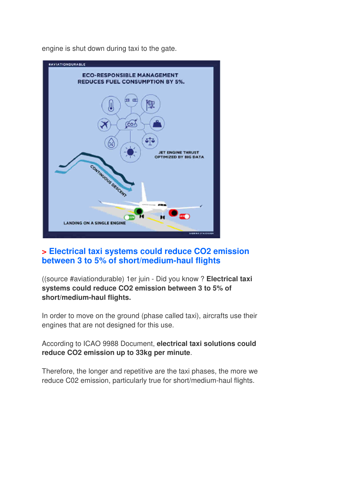engine is shut down during taxi to the gate.



### **> Electrical taxi systems could reduce CO2 emission between 3 to 5% of short/medium-haul flights**

((source #aviationdurable) 1er juin - Did you know ? **Electrical taxi systems could reduce CO2 emission between 3 to 5% of short/medium-haul flights.** 

In order to move on the ground (phase called taxi), aircrafts use their engines that are not designed for this use.

According to ICAO 9988 Document, **electrical taxi solutions could reduce CO2 emission up to 33kg per minute**.

Therefore, the longer and repetitive are the taxi phases, the more we reduce C02 emission, particularly true for short/medium-haul flights.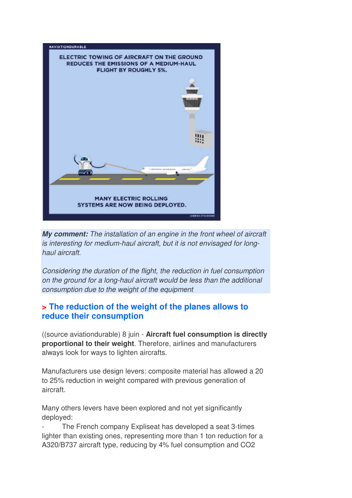

**My comment:** The installation of an engine in the front wheel of aircraft is interesting for medium-haul aircraft, but it is not envisaged for longhaul aircraft.

Considering the duration of the flight, the reduction in fuel consumption on the ground for a long-haul aircraft would be less than the additional consumption due to the weight of the equipment

#### **> The reduction of the weight of the planes allows to reduce their consumption**

((source aviationdurable) 8 juin - **Aircraft fuel consumption is directly proportional to their weight**. Therefore, airlines and manufacturers always look for ways to lighten aircrafts.

Manufacturers use design levers: composite material has allowed a 20 to 25% reduction in weight compared with previous generation of aircraft.

Many others levers have been explored and not yet significantly deployed:

The French company Expliseat has developed a seat 3-times lighter than existing ones, representing more than 1 ton reduction for a A320/B737 aircraft type, reducing by 4% fuel consumption and CO2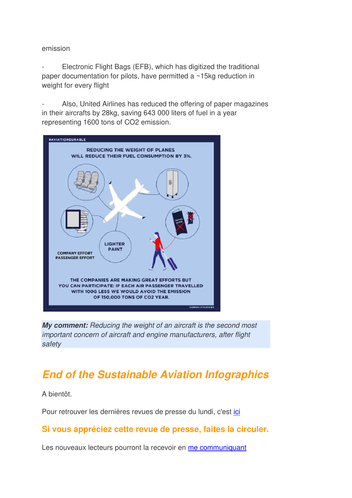#### emission

Electronic Flight Bags (EFB), which has digitized the traditional paper documentation for pilots, have permitted a ~15kg reduction in weight for every flight

Also, United Airlines has reduced the offering of paper magazines in their aircrafts by 28kg, saving 643 000 liters of fuel in a year representing 1600 tons of CO2 emission.



**My comment:** Reducing the weight of an aircraft is the second most important concern of aircraft and engine manufacturers, after flight safety

### **End of the Sustainable Aviation Infographics**

A bientôt.

Pour retrouver les dernières revues de presse du lundi, c'est ici

### **Si vous appréciez cette revue de presse, faites la circuler.**

Les nouveaux lecteurs pourront la recevoir en me communiquant